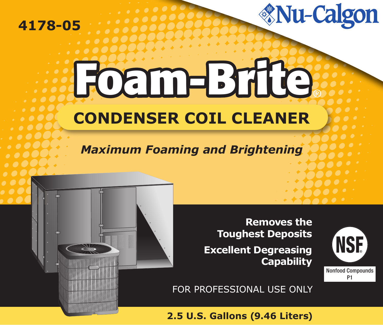### **4178-05**

# *<u>Mu-Calgon</u>*

# **Foam-Brite CONDENSER COIL CLEANER**

## *Maximum Foaming and Brightening*



**Removes the Toughest Deposits Excellent Degreasing Capability**



FOR PROFESSIONAL USE ONLY

**2.5 U.S. Gallons (9.46 Liters)**